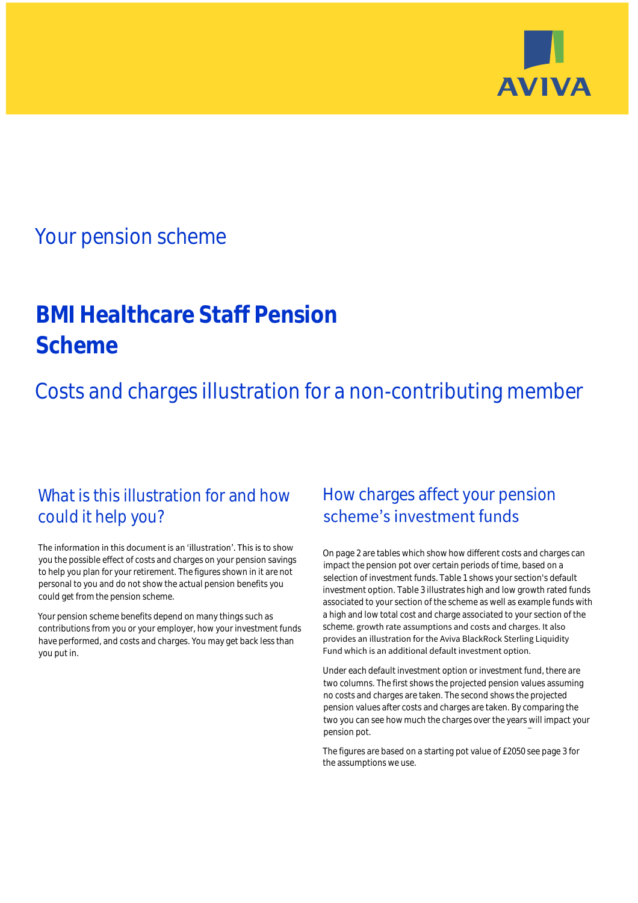

# Your pension scheme

# **BMI Healthcare Staff Pension Scheme**

Costs and charges illustration for a non-contributing member

# What is this illustration for and how could it help you?

### The information in this document is an 'illustration'. This is to show you the possible effect of costs and charges on your pension savings to help you plan for your retirement. The figures shown in it are not personal to you and do not show the actual pension benefits you could get from the pension scheme.

Your pension scheme benefits depend on many things such as contributions from you or your employer, how your investment funds have performed, and costs and charges. You may get back less than you put in.

# How charges affect your pension scheme's investment funds

On page 2 are tables which show how different costs and charges can impact the pension pot over certain periods of time, based on a selection of investment funds. Table 1 shows your section's default investment option. Table 3 illustrates high and low growth rated funds associated to your section of the scheme as well as example funds with a high and low total cost and charge associated to your section of the scheme. growth rate assumptions and costs and charges. It also provides an illustration for the Aviva BlackRock Sterling Liquidity Fund which is an additional default investment option.

Under each default investment option or investment fund, there are two columns. The first shows the projected pension values assuming no costs and charges are taken. The second shows the projected pension values after costs and charges are taken. By comparing the two you can see how much the charges over the years will impact your pension pot.

The figures are based on a starting pot value of £2050 see page 3 for the assumptions we use.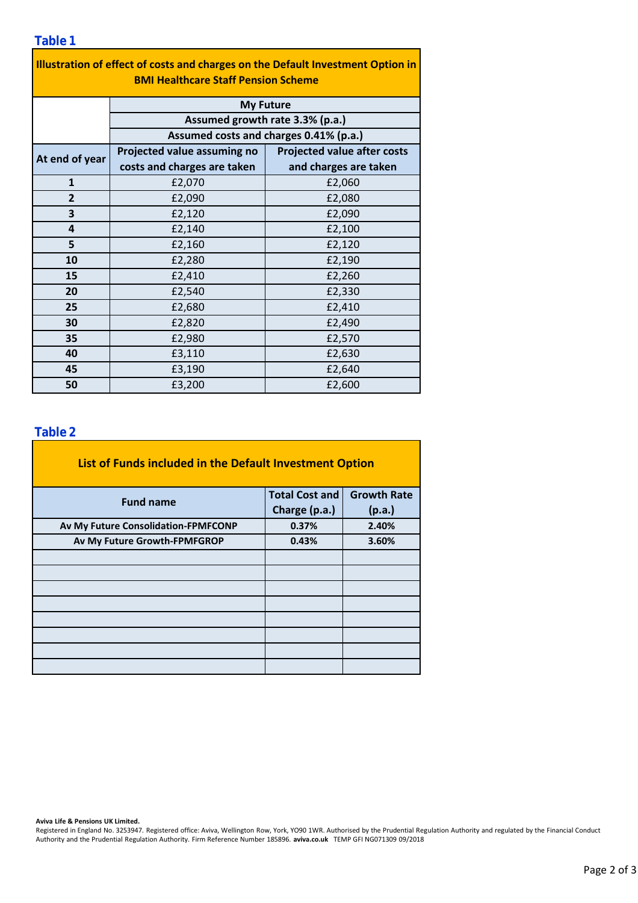| Illustration of effect of costs and charges on the Default Investment Option in<br><b>BMI Healthcare Staff Pension Scheme</b> |                                        |                                    |  |  |  |  |
|-------------------------------------------------------------------------------------------------------------------------------|----------------------------------------|------------------------------------|--|--|--|--|
|                                                                                                                               | <b>My Future</b>                       |                                    |  |  |  |  |
| Assumed growth rate 3.3% (p.a.)                                                                                               |                                        |                                    |  |  |  |  |
|                                                                                                                               | Assumed costs and charges 0.41% (p.a.) |                                    |  |  |  |  |
|                                                                                                                               | Projected value assuming no            | <b>Projected value after costs</b> |  |  |  |  |
| At end of year                                                                                                                | costs and charges are taken            | and charges are taken              |  |  |  |  |
| 1                                                                                                                             | £2,070                                 | £2,060                             |  |  |  |  |
| $\overline{2}$                                                                                                                | £2,090                                 | £2,080                             |  |  |  |  |
| 3                                                                                                                             | £2,120                                 | £2,090                             |  |  |  |  |
| 4                                                                                                                             | £2,140                                 | £2,100                             |  |  |  |  |

£2,160 £2,120

£2,280 £2,190

£2,410

£2,540 £2,680 £2,820 £2,980 £3,110 £3,190 £3,200

### **Table 2**

**30 35**

**15 20 25**

**5 10**

**40 45 50**

| List of Funds included in the Default Investment Option |                       |                    |
|---------------------------------------------------------|-----------------------|--------------------|
| <b>Fund name</b>                                        | <b>Total Cost and</b> | <b>Growth Rate</b> |
|                                                         | Charge (p.a.)         | (p.a.)             |
| Av My Future Consolidation-FPMFCONP                     | 0.37%                 | 2.40%              |
| Av My Future Growth-FPMFGROP                            | 0.43%                 | 3.60%              |
|                                                         |                       |                    |
|                                                         |                       |                    |
|                                                         |                       |                    |
|                                                         |                       |                    |
|                                                         |                       |                    |
|                                                         |                       |                    |
|                                                         |                       |                    |
|                                                         |                       |                    |

#### **Aviva Life & Pensions UK Limited.**

Registered in England No. 3253947. Registered office: Aviva, Wellington Row, York, YO90 1WR. Authorised by the Prudential Regulation Authority and regulated by the Financial Conduct Authority and the Prudential Regulation Authority. Firm Reference Number 185896. **aviva.co.uk** TEMP GFI NG071309 09/2018

£2,260 £2,330 £2,410 £2,490 £2,570

£2,630 £2,640 £2,600